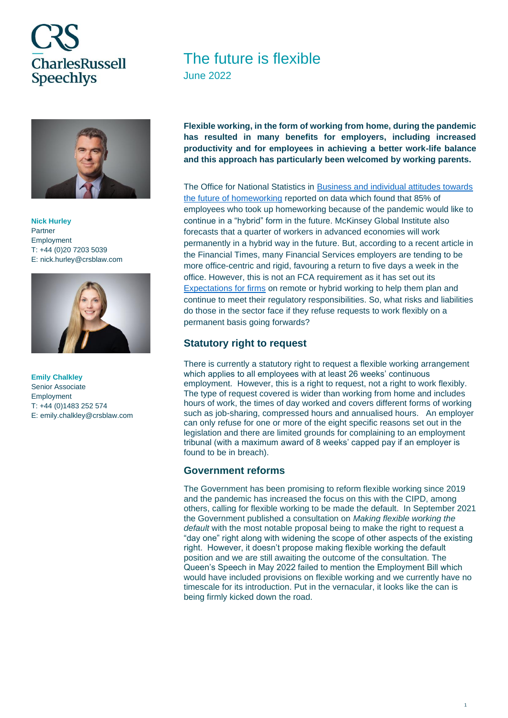# **CharlesRussell Speechlys**



**Nick Hurley** Partner Employment T: +44 (0)20 7203 5039 E: nick.hurley@crsblaw.com



**Emily Chalkley** Senior Associate Employment T: +44 (0)1483 252 574 E: emily.chalkley@crsblaw.com

# The future is flexible

June 2022

**Flexible working, in the form of working from home, during the pandemic has resulted in many benefits for employers, including increased productivity and for employees in achieving a better work-life balance and this approach has particularly been welcomed by working parents.**

The Office for National Statistics in [Business and individual attitudes towards](https://www.ons.gov.uk/employmentandlabourmarket/peopleinwork/employmentandemployeetypes/articles/businessandindividualattitudestowardsthefutureofhomeworkinguk/apriltomay2021#main-points)  [the future of homeworking](https://www.ons.gov.uk/employmentandlabourmarket/peopleinwork/employmentandemployeetypes/articles/businessandindividualattitudestowardsthefutureofhomeworkinguk/apriltomay2021#main-points) reported on data which found that 85% of employees who took up homeworking because of the pandemic would like to continue in a "hybrid" form in the future. McKinsey Global Institute also forecasts that a quarter of workers in advanced economies will work permanently in a hybrid way in the future. But, according to a recent article in the Financial Times, many Financial Services employers are tending to be more office-centric and rigid, favouring a return to five days a week in the office. However, this is not an FCA requirement as it has set out its [Expectations for firms](https://www.fca.org.uk/firms/remote-hybrid-working-expectations) on remote or hybrid working to help them plan and continue to meet their regulatory responsibilities. So, what risks and liabilities do those in the sector face if they refuse requests to work flexibly on a permanent basis going forwards?

### **Statutory right to request**

There is currently a statutory right to request a flexible working arrangement which applies to all employees with at least 26 weeks' continuous employment. However, this is a right to request, not a right to work flexibly. The type of request covered is wider than working from home and includes hours of work, the times of day worked and covers different forms of working such as job-sharing, compressed hours and annualised hours. An employer can only refuse for one or more of the eight specific reasons set out in the legislation and there are limited grounds for complaining to an employment tribunal (with a maximum award of 8 weeks' capped pay if an employer is found to be in breach).

### **Government reforms**

The Government has been promising to reform flexible working since 2019 and the pandemic has increased the focus on this with the CIPD, among others, calling for flexible working to be made the default. In September 2021 the Government published a consultation on *Making flexible working the default* with the most notable proposal being to make the right to request a "day one" right along with widening the scope of other aspects of the existing right. However, it doesn't propose making flexible working the default position and we are still awaiting the outcome of the consultation. The Queen's Speech in May 2022 failed to mention the Employment Bill which would have included provisions on flexible working and we currently have no timescale for its introduction. Put in the vernacular, it looks like the can is being firmly kicked down the road.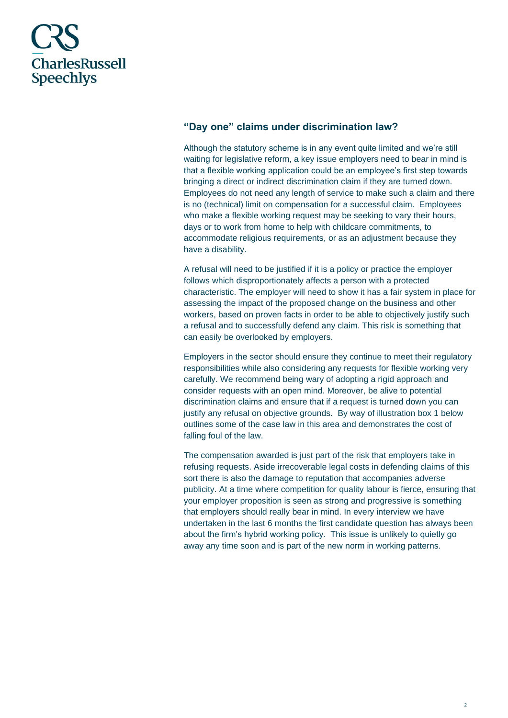# **CharlesRussell Speechlys**

## **"Day one" claims under discrimination law?**

Although the statutory scheme is in any event quite limited and we're still waiting for legislative reform, a key issue employers need to bear in mind is that a flexible working application could be an employee's first step towards bringing a direct or indirect discrimination claim if they are turned down. Employees do not need any length of service to make such a claim and there is no (technical) limit on compensation for a successful claim. Employees who make a flexible working request may be seeking to vary their hours, days or to work from home to help with childcare commitments, to accommodate religious requirements, or as an adjustment because they have a disability.

A refusal will need to be justified if it is a policy or practice the employer follows which disproportionately affects a person with a protected characteristic. The employer will need to show it has a fair system in place for assessing the impact of the proposed change on the business and other workers, based on proven facts in order to be able to objectively justify such a refusal and to successfully defend any claim. This risk is something that can easily be overlooked by employers.

Employers in the sector should ensure they continue to meet their regulatory responsibilities while also considering any requests for flexible working very carefully. We recommend being wary of adopting a rigid approach and consider requests with an open mind. Moreover, be alive to potential discrimination claims and ensure that if a request is turned down you can justify any refusal on objective grounds. By way of illustration box 1 below outlines some of the case law in this area and demonstrates the cost of falling foul of the law.

The compensation awarded is just part of the risk that employers take in refusing requests. Aside irrecoverable legal costs in defending claims of this sort there is also the damage to reputation that accompanies adverse publicity. At a time where competition for quality labour is fierce, ensuring that your employer proposition is seen as strong and progressive is something that employers should really bear in mind. In every interview we have undertaken in the last 6 months the first candidate question has always been about the firm's hybrid working policy. This issue is unlikely to quietly go away any time soon and is part of the new norm in working patterns.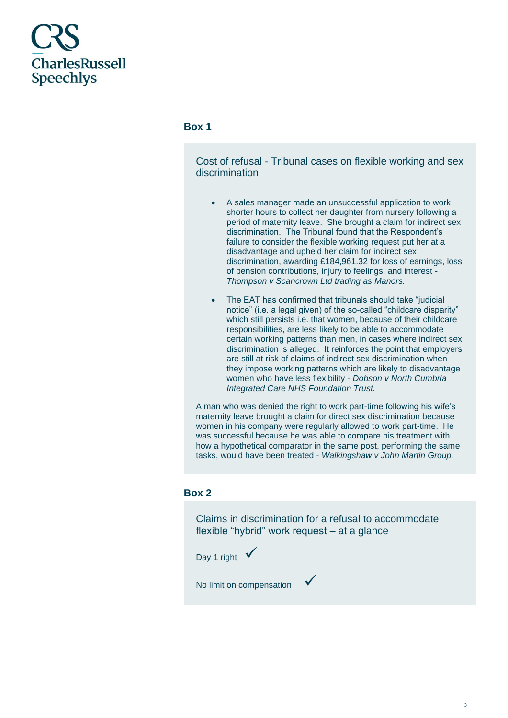

#### **Box 1**

Cost of refusal - Tribunal cases on flexible working and sex discrimination

- A sales manager made an unsuccessful application to work shorter hours to collect her daughter from nursery following a period of maternity leave. She brought a claim for indirect sex discrimination. The Tribunal found that the Respondent's failure to consider the flexible working request put her at a disadvantage and upheld her claim for indirect sex discrimination, awarding £184,961.32 for loss of earnings, loss of pension contributions, injury to feelings, and interest - *Thompson v Scancrown Ltd trading as Manors.*
- The EAT has confirmed that tribunals should take "judicial notice" (i.e. a legal given) of the so-called "childcare disparity" which still persists i.e. that women, because of their childcare responsibilities, are less likely to be able to accommodate certain working patterns than men, in cases where indirect sex discrimination is alleged. It reinforces the point that employers are still at risk of claims of indirect sex discrimination when they impose working patterns which are likely to disadvantage women who have less flexibility - *Dobson v North Cumbria Integrated Care NHS Foundation Trust.*

A man who was denied the right to work part-time following his wife's maternity leave brought a claim for direct sex discrimination because women in his company were regularly allowed to work part-time. He was successful because he was able to compare his treatment with how a hypothetical comparator in the same post, performing the same tasks, would have been treated - *Walkingshaw v John Martin Group.*

#### **Box 2**

Claims in discrimination for a refusal to accommodate flexible "hybrid" work request – at a glance



No limit on compensation